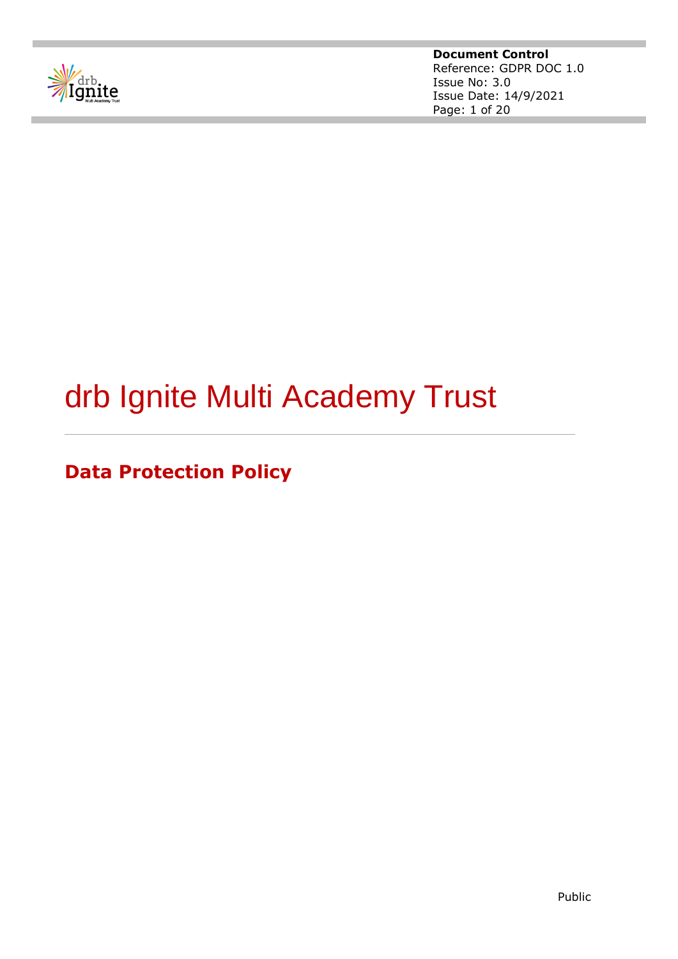

# drb Ignite Multi Academy Trust

**Data Protection Policy**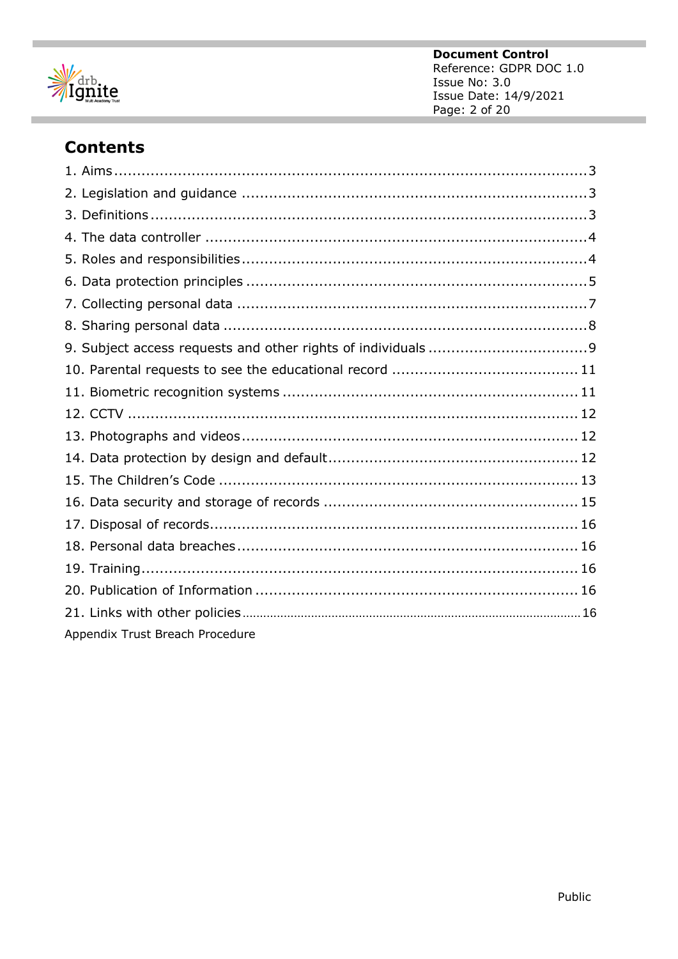

ı

# **Contents**

| Appendix Trust Breach Procedure |  |
|---------------------------------|--|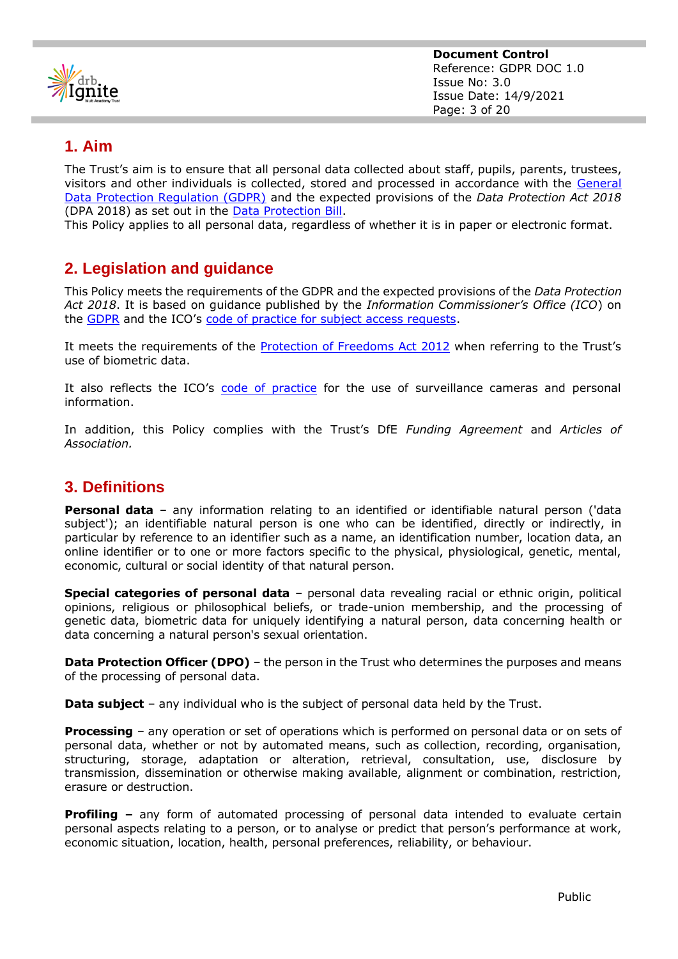

## **1. Aim**

The Trust's aim is to ensure that all personal data collected about staff, pupils, parents, trustees, visitors and other individuals is collected, stored and processed in accordance with the [General](http://data.consilium.europa.eu/doc/document/ST-5419-2016-INIT/en/pdf)  [Data Protection Regulation \(GDPR\)](http://data.consilium.europa.eu/doc/document/ST-5419-2016-INIT/en/pdf) and the expected provisions of the *Data Protection Act 2018* (DPA 2018) as set out in the [Data Protection Bill.](https://publications.parliament.uk/pa/bills/cbill/2017-2019/0153/18153.pdf)

This Policy applies to all personal data, regardless of whether it is in paper or electronic format.

# **2. Legislation and guidance**

This Policy meets the requirements of the GDPR and the expected provisions of the *Data Protection Act 2018*. It is based on guidance published by the *Information Commissioner's Office (ICO*) on the [GDPR](https://ico.org.uk/for-organisations/guide-to-the-general-data-protection-regulation-gdpr/) and the ICO's [code of practice for subject access requests.](https://ico.org.uk/media/for-organisations/documents/2014223/subject-access-code-of-practice.pdf)

It meets the requirements of the [Protection of Freedoms Act 2012](https://www.legislation.gov.uk/ukpga/2012/9/part/1/chapter/2) when referring to the Trust's use of biometric data.

It also reflects the ICO's [code of practice](https://ico.org.uk/media/for-organisations/documents/1542/cctv-code-of-practice.pdf) for the use of surveillance cameras and personal information.

In addition, this Policy complies with the Trust's DfE *Funding Agreement* and *Articles of Association.*

# **3. Definitions**

**Personal data** – any information relating to an identified or identifiable natural person ('data subject'); an identifiable natural person is one who can be identified, directly or indirectly, in particular by reference to an identifier such as a name, an identification number, location data, an online identifier or to one or more factors specific to the physical, physiological, genetic, mental, economic, cultural or social identity of that natural person.

**Special categories of personal data** – personal data revealing racial or ethnic origin, political opinions, religious or philosophical beliefs, or trade-union membership, and the processing of genetic data, biometric data for uniquely identifying a natural person, data concerning health or data concerning a natural person's sexual orientation.

**Data Protection Officer (DPO)** – the person in the Trust who determines the purposes and means of the processing of personal data.

**Data subject** – any individual who is the subject of personal data held by the Trust.

**Processing** – any operation or set of operations which is performed on personal data or on sets of personal data, whether or not by automated means, such as collection, recording, organisation, structuring, storage, adaptation or alteration, retrieval, consultation, use, disclosure by transmission, dissemination or otherwise making available, alignment or combination, restriction, erasure or destruction.

**Profiling –** any form of automated processing of personal data intended to evaluate certain personal aspects relating to a person, or to analyse or predict that person's performance at work, economic situation, location, health, personal preferences, reliability, or behaviour.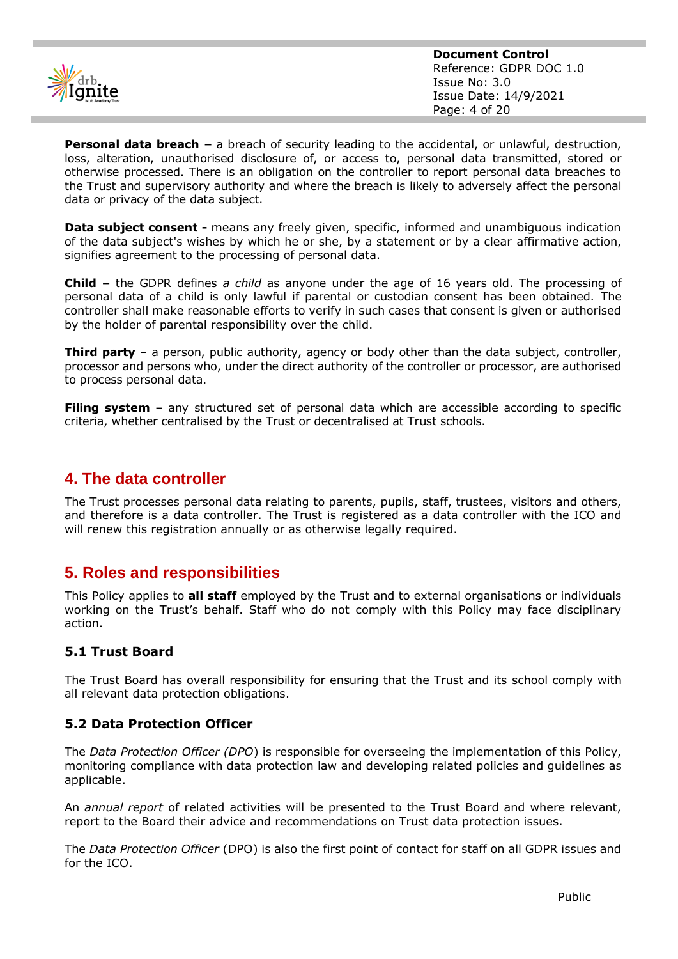

**Personal data breach –** a breach of security leading to the accidental, or unlawful, destruction, loss, alteration, unauthorised disclosure of, or access to, personal data transmitted, stored or otherwise processed. There is an obligation on the controller to report personal data breaches to the Trust and supervisory authority and where the breach is likely to adversely affect the personal data or privacy of the data subject.

**Data subject consent -** means any freely given, specific, informed and unambiguous indication of the data subject's wishes by which he or she, by a statement or by a clear affirmative action, signifies agreement to the processing of personal data.

**Child –** the GDPR defines *a child* as anyone under the age of 16 years old. The processing of personal data of a child is only lawful if parental or custodian consent has been obtained. The controller shall make reasonable efforts to verify in such cases that consent is given or authorised by the holder of parental responsibility over the child.

**Third party** – a person, public authority, agency or body other than the data subject, controller, processor and persons who, under the direct authority of the controller or processor, are authorised to process personal data.

**Filing system** – any structured set of personal data which are accessible according to specific criteria, whether centralised by the Trust or decentralised at Trust schools.

# **4. The data controller**

The Trust processes personal data relating to parents, pupils, staff, trustees, visitors and others, and therefore is a data controller. The Trust is registered as a data controller with the ICO and will renew this registration annually or as otherwise legally required.

# **5. Roles and responsibilities**

This Policy applies to **all staff** employed by the Trust and to external organisations or individuals working on the Trust's behalf. Staff who do not comply with this Policy may face disciplinary action.

## **5.1 Trust Board**

The Trust Board has overall responsibility for ensuring that the Trust and its school comply with all relevant data protection obligations.

## **5.2 Data Protection Officer**

The *Data Protection Officer (DPO*) is responsible for overseeing the implementation of this Policy, monitoring compliance with data protection law and developing related policies and guidelines as applicable.

An *annual report* of related activities will be presented to the Trust Board and where relevant, report to the Board their advice and recommendations on Trust data protection issues.

The *Data Protection Officer* (DPO) is also the first point of contact for staff on all GDPR issues and for the ICO.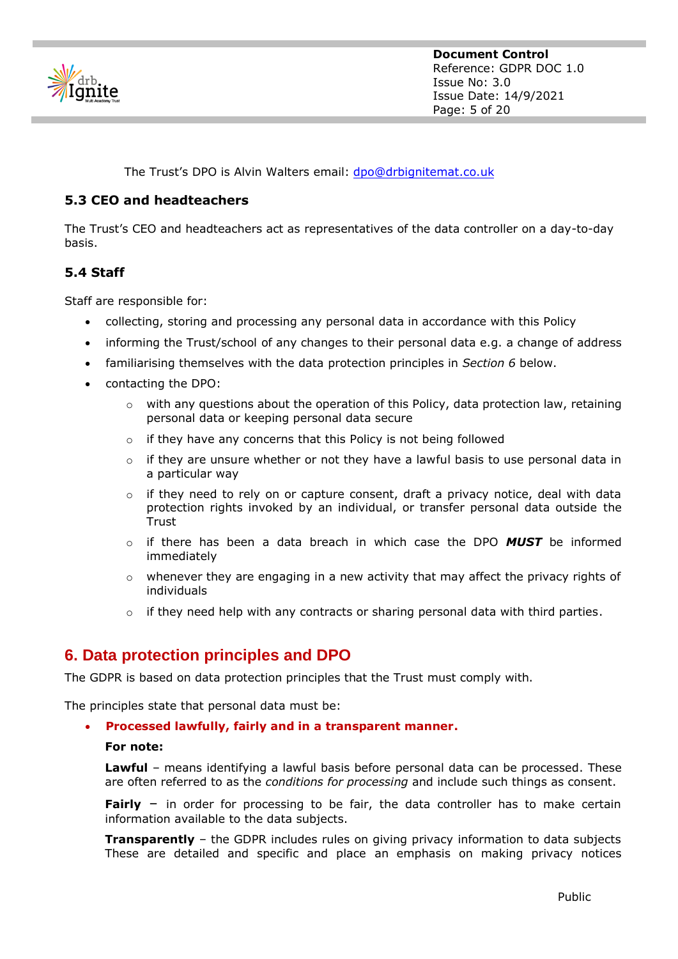

The Trust's DPO is Alvin Walters email: [dpo@drbignitemat.co.uk](mailto:dpo@drbignitemat.co.uk)

## **5.3 CEO and headteachers**

The Trust's CEO and headteachers act as representatives of the data controller on a day-to-day basis.

## **5.4 Staff**

Staff are responsible for:

- collecting, storing and processing any personal data in accordance with this Policy
- informing the Trust/school of any changes to their personal data e.g. a change of address
- familiarising themselves with the data protection principles in *Section 6* below.
- contacting the DPO:
	- o with any questions about the operation of this Policy, data protection law, retaining personal data or keeping personal data secure
	- o if they have any concerns that this Policy is not being followed
	- $\circ$  if they are unsure whether or not they have a lawful basis to use personal data in a particular way
	- o if they need to rely on or capture consent, draft a privacy notice, deal with data protection rights invoked by an individual, or transfer personal data outside the Trust
	- o if there has been a data breach in which case the DPO *MUST* be informed immediately
	- $\circ$  whenever they are engaging in a new activity that may affect the privacy rights of individuals
	- $\circ$  if they need help with any contracts or sharing personal data with third parties.

# **6. Data protection principles and DPO**

The GDPR is based on data protection principles that the Trust must comply with.

The principles state that personal data must be:

#### • **Processed lawfully, fairly and in a transparent manner.**

#### **For note:**

**Lawful** – means identifying a lawful basis before personal data can be processed. These are often referred to as the *conditions for processing* and include such things as consent.

**Fairly** – in order for processing to be fair, the data controller has to make certain information available to the data subjects.

**Transparently** – the GDPR includes rules on giving privacy information to data subjects These are detailed and specific and place an emphasis on making privacy notices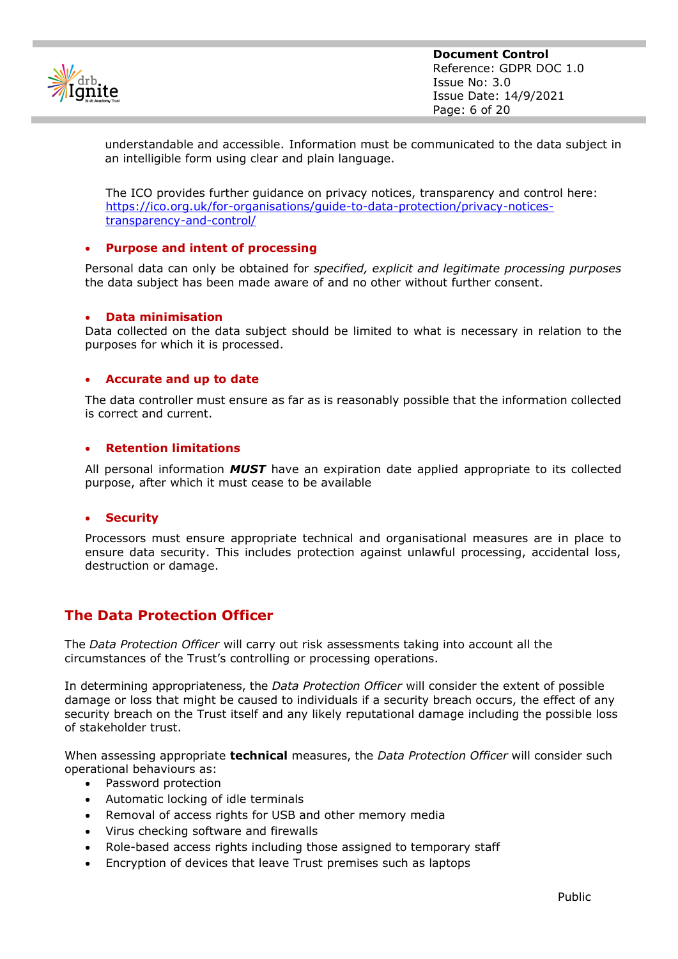

understandable and accessible. Information must be communicated to the data subject in an intelligible form using clear and plain language.

The ICO provides further guidance on privacy notices, transparency and control here: [https://ico.org.uk/for-organisations/guide-to-data-protection/privacy-notices](https://ico.org.uk/for-organisations/guide-to-data-protection/privacy-notices-transparency-and-control/)[transparency-and-control/](https://ico.org.uk/for-organisations/guide-to-data-protection/privacy-notices-transparency-and-control/)

## • **Purpose and intent of processing**

Personal data can only be obtained for *specified, explicit and legitimate processing purposes* the data subject has been made aware of and no other without further consent.

#### • **Data minimisation**

Data collected on the data subject should be limited to what is necessary in relation to the purposes for which it is processed.

#### • **Accurate and up to date**

The data controller must ensure as far as is reasonably possible that the information collected is correct and current.

#### • **Retention limitations**

All personal information *MUST* have an expiration date applied appropriate to its collected purpose, after which it must cease to be available

#### • **Security**

Processors must ensure appropriate technical and organisational measures are in place to ensure data security. This includes protection against unlawful processing, accidental loss, destruction or damage.

## **The Data Protection Officer**

The *Data Protection Officer* will carry out risk assessments taking into account all the circumstances of the Trust's controlling or processing operations.

In determining appropriateness, the *Data Protection Officer* will consider the extent of possible damage or loss that might be caused to individuals if a security breach occurs, the effect of any security breach on the Trust itself and any likely reputational damage including the possible loss of stakeholder trust.

When assessing appropriate **technical** measures, the *Data Protection Officer* will consider such operational behaviours as:

- Password protection
- Automatic locking of idle terminals
- Removal of access rights for USB and other memory media
- Virus checking software and firewalls
- Role-based access rights including those assigned to temporary staff
- Encryption of devices that leave Trust premises such as laptops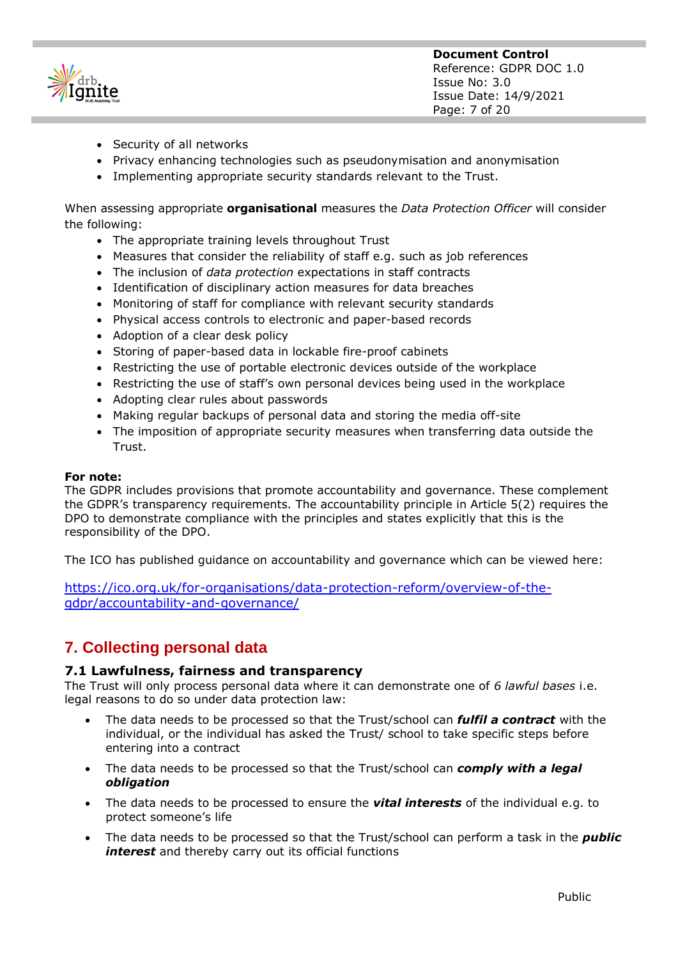| onite                |
|----------------------|
| <b>Academy Trust</b> |

- Security of all networks
- Privacy enhancing technologies such as pseudonymisation and anonymisation
- Implementing appropriate security standards relevant to the Trust.

When assessing appropriate **organisational** measures the *Data Protection Officer* will consider the following:

- The appropriate training levels throughout Trust
- Measures that consider the reliability of staff e.g. such as job references
- The inclusion of *data protection* expectations in staff contracts
- Identification of disciplinary action measures for data breaches
- Monitoring of staff for compliance with relevant security standards
- Physical access controls to electronic and paper-based records
- Adoption of a clear desk policy
- Storing of paper-based data in lockable fire-proof cabinets
- Restricting the use of portable electronic devices outside of the workplace
- Restricting the use of staff's own personal devices being used in the workplace
- Adopting clear rules about passwords
- Making regular backups of personal data and storing the media off-site
- The imposition of appropriate security measures when transferring data outside the **Trust**

## **For note:**

The GDPR includes provisions that promote accountability and governance. These complement the GDPR's transparency requirements. The accountability principle in Article 5(2) requires the DPO to demonstrate compliance with the principles and states explicitly that this is the responsibility of the DPO.

The ICO has published guidance on accountability and governance which can be viewed here:

[https://ico.org.uk/for-organisations/data-protection-reform/overview-of-the](https://ico.org.uk/for-organisations/data-protection-reform/overview-of-the-gdpr/accountability-and-governance/)[gdpr/accountability-and-governance/](https://ico.org.uk/for-organisations/data-protection-reform/overview-of-the-gdpr/accountability-and-governance/)

# **7. Collecting personal data**

## **7.1 Lawfulness, fairness and transparency**

The Trust will only process personal data where it can demonstrate one of *6 lawful bases* i.e. legal reasons to do so under data protection law:

- The data needs to be processed so that the Trust/school can *fulfil a contract* with the individual, or the individual has asked the Trust/ school to take specific steps before entering into a contract
- The data needs to be processed so that the Trust/school can *comply with a legal obligation*
- The data needs to be processed to ensure the *vital interests* of the individual e.g. to protect someone's life
- The data needs to be processed so that the Trust/school can perform a task in the *public interest* and thereby carry out its official functions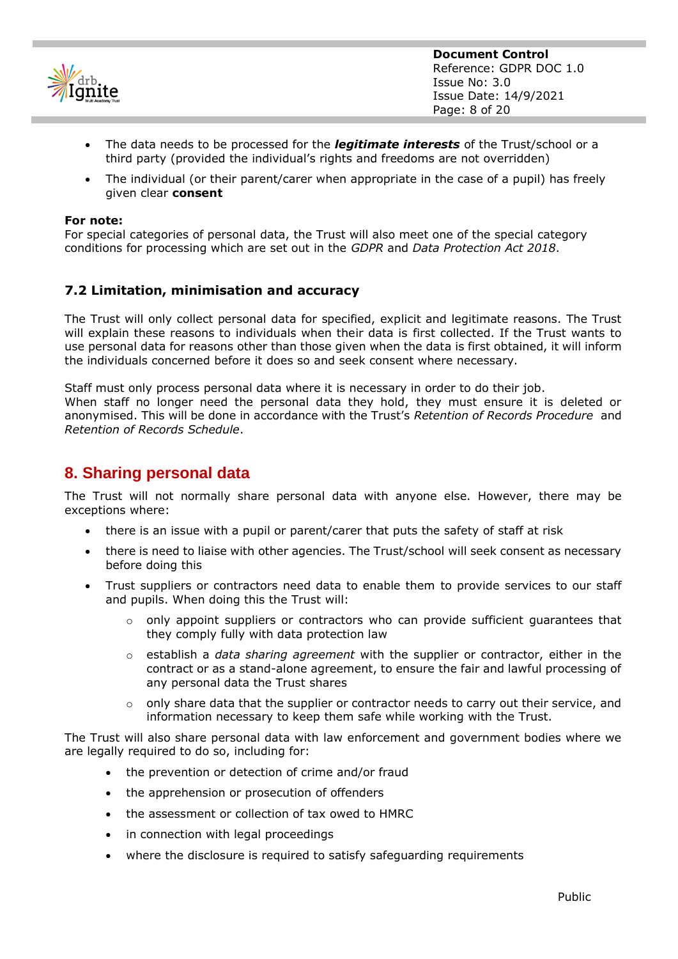

- The data needs to be processed for the *legitimate interests* of the Trust/school or a third party (provided the individual's rights and freedoms are not overridden)
- The individual (or their parent/carer when appropriate in the case of a pupil) has freely given clear **consent**

#### **For note:**

For special categories of personal data, the Trust will also meet one of the special category conditions for processing which are set out in the *GDPR* and *Data Protection Act 2018*.

## **7.2 Limitation, minimisation and accuracy**

The Trust will only collect personal data for specified, explicit and legitimate reasons. The Trust will explain these reasons to individuals when their data is first collected. If the Trust wants to use personal data for reasons other than those given when the data is first obtained, it will inform the individuals concerned before it does so and seek consent where necessary.

Staff must only process personal data where it is necessary in order to do their job. When staff no longer need the personal data they hold, they must ensure it is deleted or anonymised. This will be done in accordance with the Trust's *Retention of Records Procedure* and *Retention of Records Schedule*.

## **8. Sharing personal data**

The Trust will not normally share personal data with anyone else. However, there may be exceptions where:

- there is an issue with a pupil or parent/carer that puts the safety of staff at risk
- there is need to liaise with other agencies. The Trust/school will seek consent as necessary before doing this
- Trust suppliers or contractors need data to enable them to provide services to our staff and pupils. When doing this the Trust will:
	- $\circ$  only appoint suppliers or contractors who can provide sufficient quarantees that they comply fully with data protection law
	- o establish a *data sharing agreement* with the supplier or contractor, either in the contract or as a stand-alone agreement, to ensure the fair and lawful processing of any personal data the Trust shares
	- $\circ$  only share data that the supplier or contractor needs to carry out their service, and information necessary to keep them safe while working with the Trust.

The Trust will also share personal data with law enforcement and government bodies where we are legally required to do so, including for:

- the prevention or detection of crime and/or fraud
- the apprehension or prosecution of offenders
- the assessment or collection of tax owed to HMRC
- in connection with legal proceedings
- where the disclosure is required to satisfy safeguarding requirements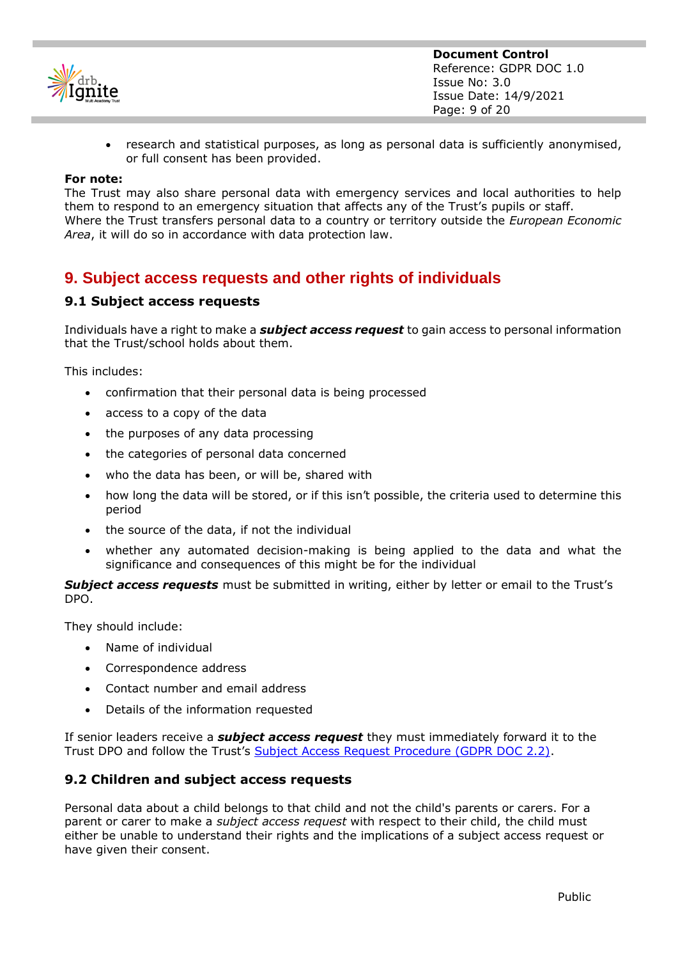

• research and statistical purposes, as long as personal data is sufficiently anonymised, or full consent has been provided.

#### **For note:**

The Trust may also share personal data with emergency services and local authorities to help them to respond to an emergency situation that affects any of the Trust's pupils or staff. Where the Trust transfers personal data to a country or territory outside the *European Economic Area*, it will do so in accordance with data protection law.

# **9. Subject access requests and other rights of individuals**

## **9.1 Subject access requests**

Individuals have a right to make a *subject access request* to gain access to personal information that the Trust/school holds about them.

This includes:

- confirmation that their personal data is being processed
- access to a copy of the data
- the purposes of any data processing
- the categories of personal data concerned
- who the data has been, or will be, shared with
- how long the data will be stored, or if this isn't possible, the criteria used to determine this period
- the source of the data, if not the individual
- whether any automated decision-making is being applied to the data and what the significance and consequences of this might be for the individual

**Subject access requests** must be submitted in writing, either by letter or email to the Trust's DPO.

They should include:

- Name of individual
- Correspondence address
- Contact number and email address
- Details of the information requested

If senior leaders receive a *subject access request* they must immediately forward it to the Trust DPO and follow the Trust's [Subject Access Request Procedure \(GDPR DOC 2.2\).](https://drbignitemat.sharepoint.com/:w:/s/GovPart/EbpcJutaJ2dJuPBPYXKTHWcBzknb98OuNot_G8iyEsjv6Q?e=N8suw9)

## **9.2 Children and subject access requests**

Personal data about a child belongs to that child and not the child's parents or carers. For a parent or carer to make a *subject access request* with respect to their child, the child must either be unable to understand their rights and the implications of a subject access request or have given their consent.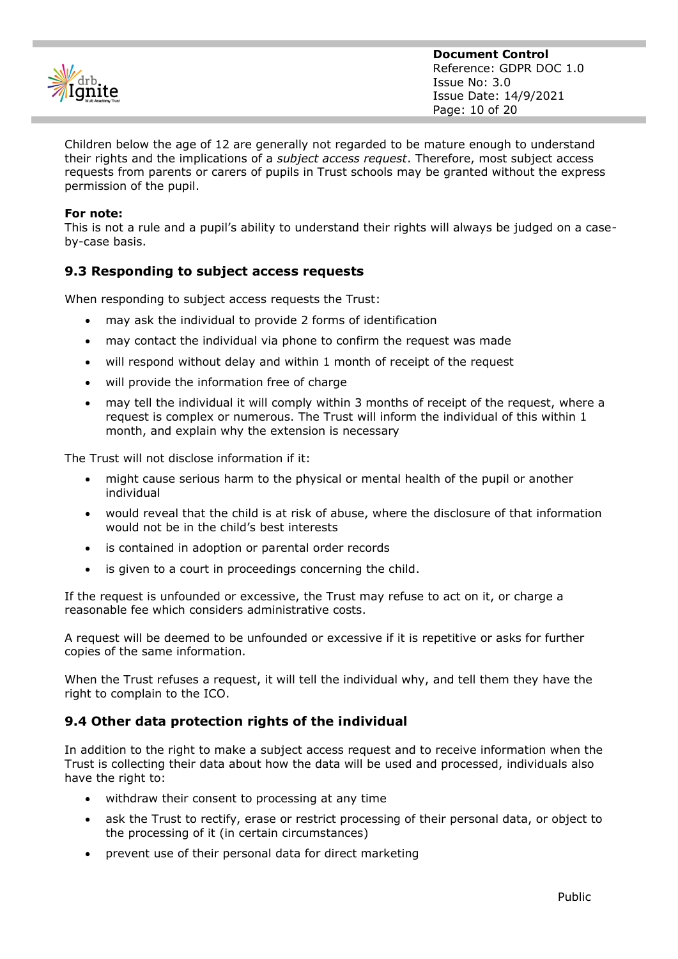

Children below the age of 12 are generally not regarded to be mature enough to understand their rights and the implications of a *subject access request*. Therefore, most subject access requests from parents or carers of pupils in Trust schools may be granted without the express permission of the pupil.

## **For note:**

This is not a rule and a pupil's ability to understand their rights will always be judged on a caseby-case basis.

## **9.3 Responding to subject access requests**

When responding to subject access requests the Trust:

- may ask the individual to provide 2 forms of identification
- may contact the individual via phone to confirm the request was made
- will respond without delay and within 1 month of receipt of the request
- will provide the information free of charge
- may tell the individual it will comply within 3 months of receipt of the request, where a request is complex or numerous. The Trust will inform the individual of this within 1 month, and explain why the extension is necessary

The Trust will not disclose information if it:

- might cause serious harm to the physical or mental health of the pupil or another individual
- would reveal that the child is at risk of abuse, where the disclosure of that information would not be in the child's best interests
- is contained in adoption or parental order records
- is given to a court in proceedings concerning the child.

If the request is unfounded or excessive, the Trust may refuse to act on it, or charge a reasonable fee which considers administrative costs.

A request will be deemed to be unfounded or excessive if it is repetitive or asks for further copies of the same information.

When the Trust refuses a request, it will tell the individual why, and tell them they have the right to complain to the ICO.

## **9.4 Other data protection rights of the individual**

In addition to the right to make a subject access request and to receive information when the Trust is collecting their data about how the data will be used and processed, individuals also have the right to:

- withdraw their consent to processing at any time
- ask the Trust to rectify, erase or restrict processing of their personal data, or object to the processing of it (in certain circumstances)
- prevent use of their personal data for direct marketing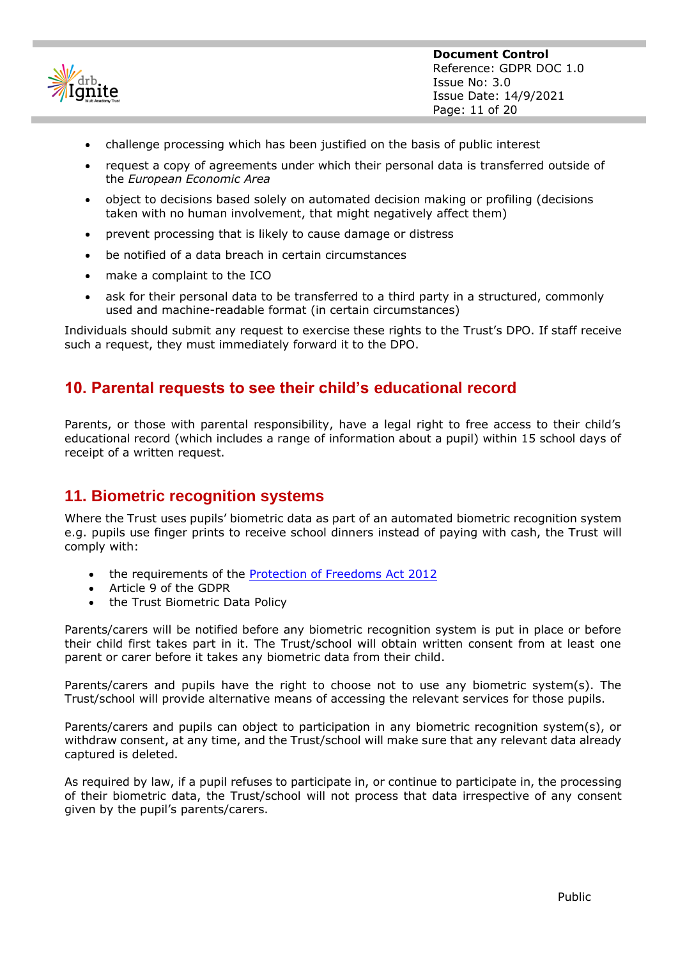

- challenge processing which has been justified on the basis of public interest
- request a copy of agreements under which their personal data is transferred outside of the *European Economic Area*
- object to decisions based solely on automated decision making or profiling (decisions taken with no human involvement, that might negatively affect them)
- prevent processing that is likely to cause damage or distress
- be notified of a data breach in certain circumstances
- make a complaint to the ICO
- ask for their personal data to be transferred to a third party in a structured, commonly used and machine-readable format (in certain circumstances)

Individuals should submit any request to exercise these rights to the Trust's DPO. If staff receive such a request, they must immediately forward it to the DPO.

## **10. Parental requests to see their child's educational record**

Parents, or those with parental responsibility, have a legal right to free access to their child's educational record (which includes a range of information about a pupil) within 15 school days of receipt of a written request.

## **11. Biometric recognition systems**

Where the Trust uses pupils' biometric data as part of an automated biometric recognition system e.g. pupils use finger prints to receive school dinners instead of paying with cash, the Trust will comply with:

- the requirements of the [Protection of Freedoms Act 2012](https://www.legislation.gov.uk/ukpga/2012/9/section/26)
- Article 9 of the GDPR
- the Trust Biometric Data Policy

Parents/carers will be notified before any biometric recognition system is put in place or before their child first takes part in it. The Trust/school will obtain written consent from at least one parent or carer before it takes any biometric data from their child.

Parents/carers and pupils have the right to choose not to use any biometric system(s). The Trust/school will provide alternative means of accessing the relevant services for those pupils.

Parents/carers and pupils can object to participation in any biometric recognition system(s), or withdraw consent, at any time, and the Trust/school will make sure that any relevant data already captured is deleted.

As required by law, if a pupil refuses to participate in, or continue to participate in, the processing of their biometric data, the Trust/school will not process that data irrespective of any consent given by the pupil's parents/carers.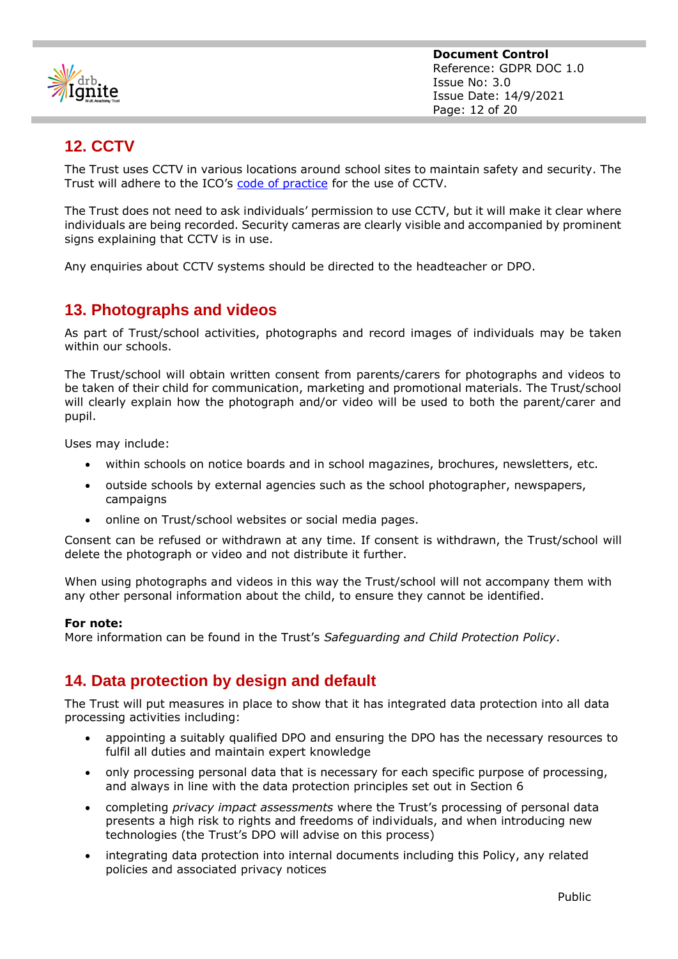

# **12. CCTV**

The Trust uses CCTV in various locations around school sites to maintain safety and security. The Trust will adhere to the ICO's [code of practice](https://ico.org.uk/media/for-organisations/documents/1542/cctv-code-of-practice.pdf) for the use of CCTV.

The Trust does not need to ask individuals' permission to use CCTV, but it will make it clear where individuals are being recorded. Security cameras are clearly visible and accompanied by prominent signs explaining that CCTV is in use.

Any enquiries about CCTV systems should be directed to the headteacher or DPO.

# **13. Photographs and videos**

As part of Trust/school activities, photographs and record images of individuals may be taken within our schools.

The Trust/school will obtain written consent from parents/carers for photographs and videos to be taken of their child for communication, marketing and promotional materials. The Trust/school will clearly explain how the photograph and/or video will be used to both the parent/carer and pupil.

Uses may include:

- within schools on notice boards and in school magazines, brochures, newsletters, etc.
- outside schools by external agencies such as the school photographer, newspapers, campaigns
- online on Trust/school websites or social media pages.

Consent can be refused or withdrawn at any time. If consent is withdrawn, the Trust/school will delete the photograph or video and not distribute it further.

When using photographs and videos in this way the Trust/school will not accompany them with any other personal information about the child, to ensure they cannot be identified.

#### **For note:**

More information can be found in the Trust's *Safeguarding and Child Protection Policy*.

# **14. Data protection by design and default**

The Trust will put measures in place to show that it has integrated data protection into all data processing activities including:

- appointing a suitably qualified DPO and ensuring the DPO has the necessary resources to fulfil all duties and maintain expert knowledge
- only processing personal data that is necessary for each specific purpose of processing, and always in line with the data protection principles set out in Section 6
- completing *privacy impact assessments* where the Trust's processing of personal data presents a high risk to rights and freedoms of individuals, and when introducing new technologies (the Trust's DPO will advise on this process)
- integrating data protection into internal documents including this Policy, any related policies and associated privacy notices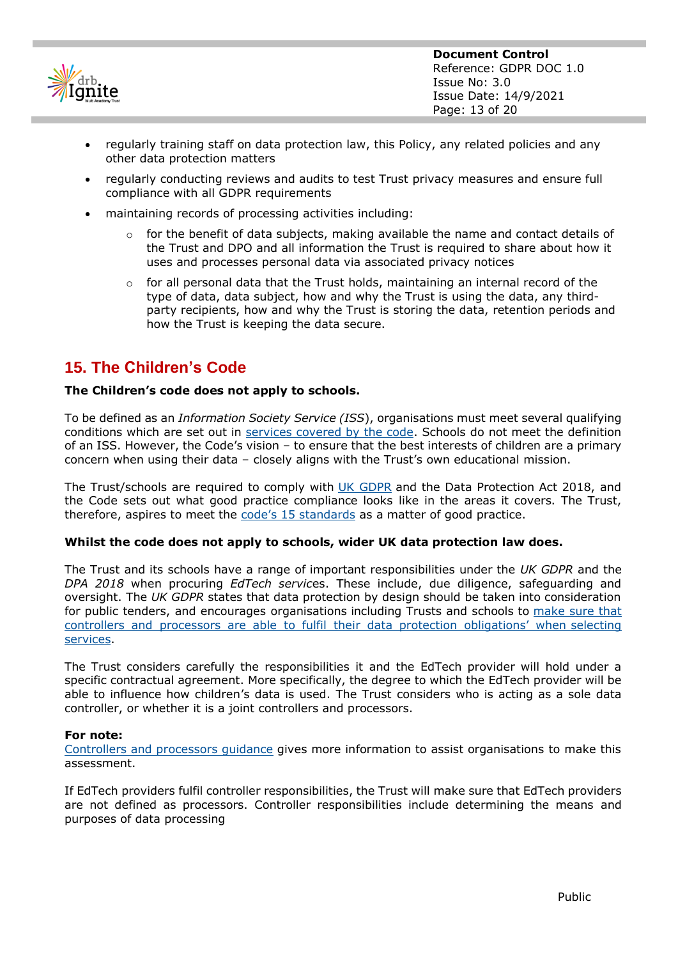

- regularly training staff on data protection law, this Policy, any related policies and any other data protection matters
- regularly conducting reviews and audits to test Trust privacy measures and ensure full compliance with all GDPR requirements
- maintaining records of processing activities including:
	- $\circ$  for the benefit of data subjects, making available the name and contact details of the Trust and DPO and all information the Trust is required to share about how it uses and processes personal data via associated privacy notices
	- o for all personal data that the Trust holds, maintaining an internal record of the type of data, data subject, how and why the Trust is using the data, any thirdparty recipients, how and why the Trust is storing the data, retention periods and how the Trust is keeping the data secure.

# **15. The Children's Code**

## **The Children's code does not apply to schools.**

To be defined as an *Information Society Service (ISS*), organisations must meet several qualifying conditions which are set out in [services covered by the code.](https://ico.org.uk/for-organisations/guide-to-data-protection/ico-codes-of-practice/age-appropriate-design-a-code-of-practice-for-online-services/services-covered-by-this-code/) Schools do not meet the definition of an ISS. However, the Code's vision – to ensure that the best interests of children are a primary concern when using their data – closely aligns with the Trust's own educational mission.

The Trust/schools are required to comply with [UK GDPR](https://ico.org.uk/for-organisations/guide-to-data-protection/guide-to-the-general-data-protection-regulation-gdpr/data-protection-impact-assessments-dpias/examples-of-processing-likely-to-result-in-high-risk/) and the Data Protection Act 2018, and the Code sets out what good practice compliance looks like in the areas it covers. The Trust, therefore, aspires to meet the [code's 15 standards](https://ico.org.uk/for-organisations/guide-to-data-protection/ico-codes-of-practice/age-appropriate-design-a-code-of-practice-for-online-services/code-standards/) as a matter of good practice.

#### **Whilst the code does not apply to schools, wider UK data protection law does.**

The Trust and its schools have a range of important responsibilities under the *UK GDPR* and the *DPA 2018* when procuring *EdTech servic*es. These include, due diligence, safeguarding and oversight. The *UK GDPR* states that data protection by design should be taken into consideration for public tenders, and encourages organisations including Trusts and schools to [make sure that](https://gdpr.eu/recital-78-appropriate-technical-and-organisational-measures/)  [controllers and processors are able to fulfil their data protection obligations' when](https://gdpr.eu/recital-78-appropriate-technical-and-organisational-measures/) selecting [services.](https://gdpr.eu/recital-78-appropriate-technical-and-organisational-measures/)

The Trust considers carefully the responsibilities it and the EdTech provider will hold under a specific contractual agreement. More specifically, the degree to which the EdTech provider will be able to influence how children's data is used. The Trust considers who is acting as a sole data controller, or whether it is a joint controllers and processors.

#### **For note:**

[Controllers and processors guidance](https://ico.org.uk/for-organisations/guide-to-data-protection/guide-to-the-general-data-protection-regulation-gdpr/key-definitions/controllers-and-processors/) gives more information to assist organisations to make this assessment.

If EdTech providers fulfil controller responsibilities, the Trust will make sure that EdTech providers are not defined as processors. Controller responsibilities include determining the means and purposes of data processing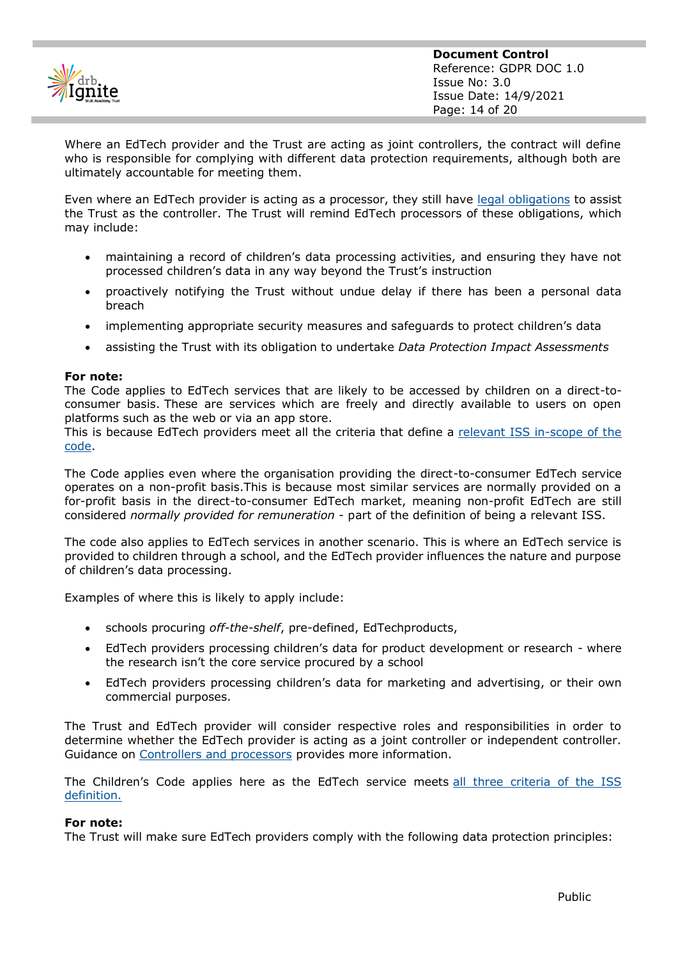

Where an EdTech provider and the Trust are acting as joint controllers, the contract will define who is responsible for complying with different data protection requirements, although both are ultimately accountable for meeting them.

Even where an EdTech provider is acting as a processor, they still have [legal obligations](https://ico.org.uk/for-organisations/guide-to-data-protection/guide-to-intelligence-services-processing/obligations/#processors) to assist the Trust as the controller. The Trust will remind EdTech processors of these obligations, which may include:

- maintaining a record of children's data processing activities, and ensuring they have not processed children's data in any way beyond the Trust's instruction
- proactively notifying the Trust without undue delay if there has been a personal data breach
- implementing appropriate security measures and safeguards to protect children's data
- assisting the Trust with its obligation to undertake *Data Protection Impact Assessments*

#### **For note:**

The Code applies to EdTech services that are likely to be accessed by children on a direct-toconsumer basis. These are services which are freely and directly available to users on open platforms such as the web or via an app store.

This is because EdTech providers meet all the criteria that define a [relevant ISS in-scope of the](https://ico.org.uk/for-organisations/guide-to-data-protection/ico-codes-of-practice/age-appropriate-design-a-code-of-practice-for-online-services/services-covered-by-this-code/)  [code.](https://ico.org.uk/for-organisations/guide-to-data-protection/ico-codes-of-practice/age-appropriate-design-a-code-of-practice-for-online-services/services-covered-by-this-code/)

The Code applies even where the organisation providing the direct-to-consumer EdTech service operates on a non-profit basis.This is because most similar services are normally provided on a for-profit basis in the direct-to-consumer EdTech market, meaning non-profit EdTech are still considered *normally provided for remuneration* - part of the definition of being a relevant ISS.

The code also applies to EdTech services in another scenario. This is where an EdTech service is provided to children through a school, and the EdTech provider influences the nature and purpose of children's data processing.

Examples of where this is likely to apply include:

- schools procuring *off-the-shelf*, pre-defined, EdTechproducts,
- EdTech providers processing children's data for product development or research where the research isn't the core service procured by a school
- EdTech providers processing children's data for marketing and advertising, or their own commercial purposes.

The Trust and EdTech provider will consider respective roles and responsibilities in order to determine whether the EdTech provider is acting as a joint controller or independent controller. Guidance on [Controllers and processors](https://ico.org.uk/for-organisations/guide-to-data-protection/guide-to-the-general-data-protection-regulation-gdpr/key-definitions/controllers-and-processors/) provides more information.

The Children's Code applies here as the EdTech service meets [all three criteria of the ISS](https://ico.org.uk/for-organisations/guide-to-data-protection/ico-codes-of-practice/age-appropriate-design-a-code-of-practice-for-online-services/services-covered-by-this-code/)  [definition.](https://ico.org.uk/for-organisations/guide-to-data-protection/ico-codes-of-practice/age-appropriate-design-a-code-of-practice-for-online-services/services-covered-by-this-code/)

#### **For note:**

The Trust will make sure EdTech providers comply with the following data protection principles: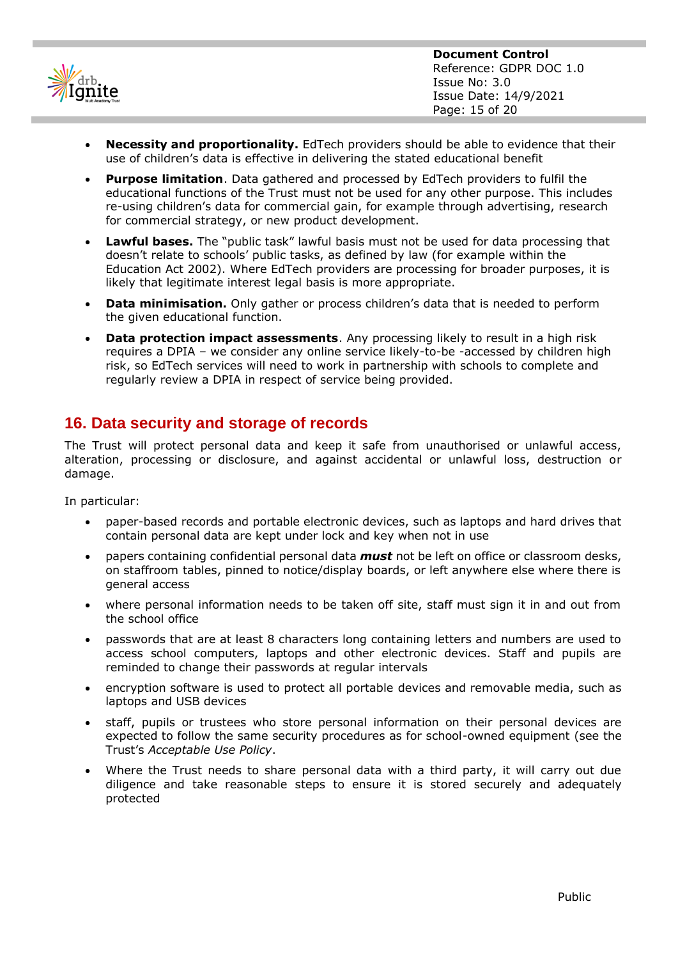

- **Necessity and proportionality.** EdTech providers should be able to evidence that their use of children's data is effective in delivering the stated educational benefit
- **Purpose limitation**. Data gathered and processed by EdTech providers to fulfil the educational functions of the Trust must not be used for any other purpose. This includes re-using children's data for commercial gain, for example through advertising, research for commercial strategy, or new product development.
- **Lawful bases.** The "public task" lawful basis must not be used for data processing that doesn't relate to schools' public tasks, as defined by law (for example within the Education Act 2002). Where EdTech providers are processing for broader purposes, it is likely that legitimate interest legal basis is more appropriate.
- **Data minimisation.** Only gather or process children's data that is needed to perform the given educational function.
- **Data protection impact assessments**. Any processing likely to result in a high risk requires a DPIA – we consider any online service likely-to-be -accessed by children high risk, so EdTech services will need to work in partnership with schools to complete and regularly review a DPIA in respect of service being provided.

# **16. Data security and storage of records**

The Trust will protect personal data and keep it safe from unauthorised or unlawful access, alteration, processing or disclosure, and against accidental or unlawful loss, destruction or damage.

In particular:

- paper-based records and portable electronic devices, such as laptops and hard drives that contain personal data are kept under lock and key when not in use
- papers containing confidential personal data *must* not be left on office or classroom desks, on staffroom tables, pinned to notice/display boards, or left anywhere else where there is general access
- where personal information needs to be taken off site, staff must sign it in and out from the school office
- passwords that are at least 8 characters long containing letters and numbers are used to access school computers, laptops and other electronic devices. Staff and pupils are reminded to change their passwords at regular intervals
- encryption software is used to protect all portable devices and removable media, such as laptops and USB devices
- staff, pupils or trustees who store personal information on their personal devices are expected to follow the same security procedures as for school-owned equipment (see the Trust's *Acceptable Use Policy*.
- Where the Trust needs to share personal data with a third party, it will carry out due diligence and take reasonable steps to ensure it is stored securely and adequately protected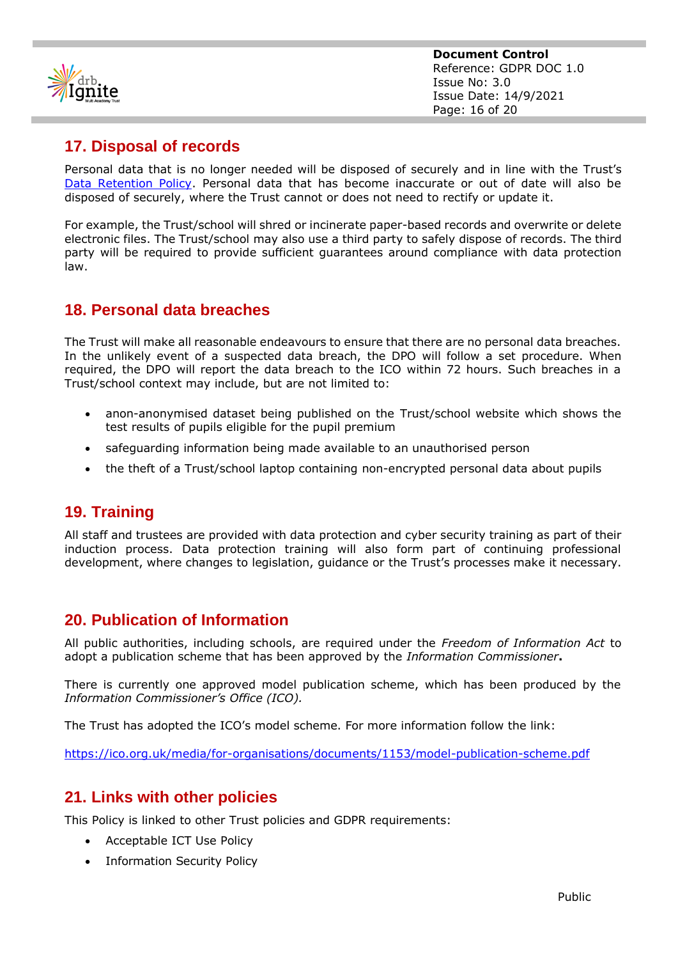

# **17. Disposal of records**

Personal data that is no longer needed will be disposed of securely and in line with the Trust's [Data Retention Policy.](https://drbignitemat.sharepoint.com/:w:/s/GovPart/EfLtM1TMEmNYkhrPXtcHUoYBMhE7bZ1Qg7meMvW0zTvMpA?e=KqGtXk) Personal data that has become inaccurate or out of date will also be disposed of securely, where the Trust cannot or does not need to rectify or update it.

For example, the Trust/school will shred or incinerate paper-based records and overwrite or delete electronic files. The Trust/school may also use a third party to safely dispose of records. The third party will be required to provide sufficient guarantees around compliance with data protection law.

# **18. Personal data breaches**

The Trust will make all reasonable endeavours to ensure that there are no personal data breaches. In the unlikely event of a suspected data breach, the DPO will follow a set procedure. When required, the DPO will report the data breach to the ICO within 72 hours. Such breaches in a Trust/school context may include, but are not limited to:

- anon-anonymised dataset being published on the Trust/school website which shows the test results of pupils eligible for the pupil premium
- safeguarding information being made available to an unauthorised person
- the theft of a Trust/school laptop containing non-encrypted personal data about pupils

# **19. Training**

All staff and trustees are provided with data protection and cyber security training as part of their induction process. Data protection training will also form part of continuing professional development, where changes to legislation, guidance or the Trust's processes make it necessary.

# **20. Publication of Information**

All public authorities, including schools, are required under the *Freedom of Information Act* to adopt a publication scheme that has been approved by the *Information Commissioner***.**

There is currently one approved model publication scheme, which has been produced by the *Information Commissioner's Office (ICO).*

The Trust has adopted the ICO's model scheme. For more information follow the link:

<https://ico.org.uk/media/for-organisations/documents/1153/model-publication-scheme.pdf>

# **21. Links with other policies**

This Policy is linked to other Trust policies and GDPR requirements:

- Acceptable ICT Use Policy
- Information Security Policy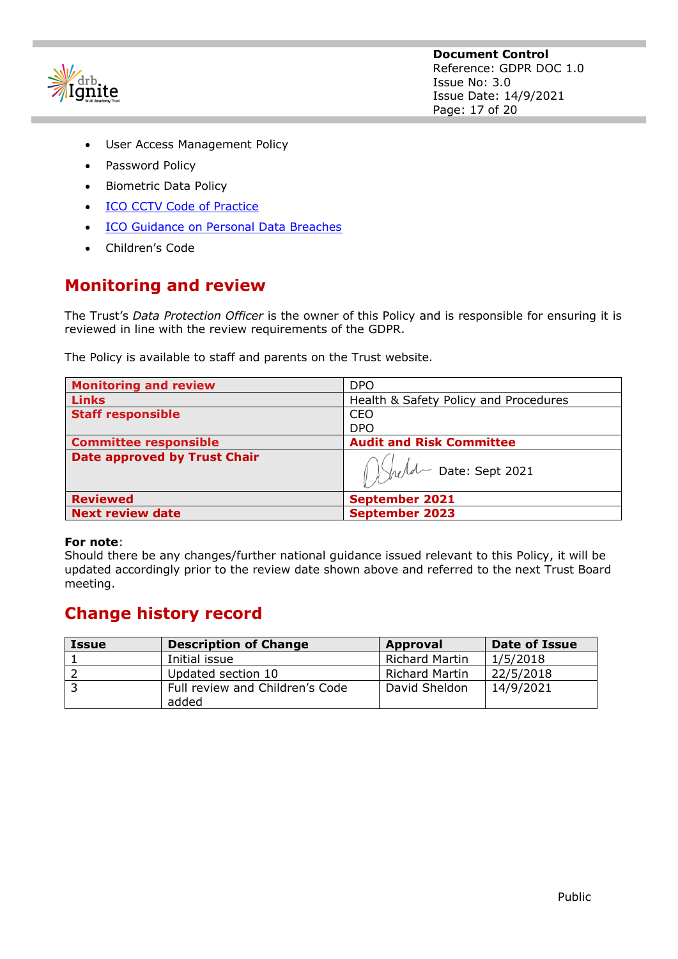

- User Access Management Policy
- Password Policy
- Biometric Data Policy
- [ICO CCTV Code of Practice](https://ico.org.uk/media/for-organisations/documents/1542/cctv-code-of-practice.pdf)
- [ICO Guidance on Personal Data Breaches](https://ico.org.uk/for-organisations/guide-to-the-general-data-protection-regulation-gdpr/personal-data-breaches/)
- Children's Code

# **Monitoring and review**

The Trust's *Data Protection Officer* is the owner of this Policy and is responsible for ensuring it is reviewed in line with the review requirements of the GDPR.

The Policy is available to staff and parents on the Trust website.

| <b>Monitoring and review</b>        | <b>DPO</b>                            |  |
|-------------------------------------|---------------------------------------|--|
| <b>Links</b>                        | Health & Safety Policy and Procedures |  |
| <b>Staff responsible</b>            | CEO                                   |  |
|                                     | <b>DPO</b>                            |  |
| <b>Committee responsible</b>        | <b>Audit and Risk Committee</b>       |  |
| <b>Date approved by Trust Chair</b> | Whele Date: Sept 2021                 |  |
| <b>Reviewed</b>                     | <b>September 2021</b>                 |  |
| <b>Next review date</b>             | <b>September 2023</b>                 |  |

## **For note**:

Should there be any changes/further national guidance issued relevant to this Policy, it will be updated accordingly prior to the review date shown above and referred to the next Trust Board meeting.

# **Change history record**

| <b>Issue</b> | <b>Description of Change</b>    | Approval              | Date of Issue |
|--------------|---------------------------------|-----------------------|---------------|
|              | Initial issue                   | <b>Richard Martin</b> | 1/5/2018      |
|              | Updated section 10              | <b>Richard Martin</b> | 22/5/2018     |
|              | Full review and Children's Code | David Sheldon         | 14/9/2021     |
|              | added                           |                       |               |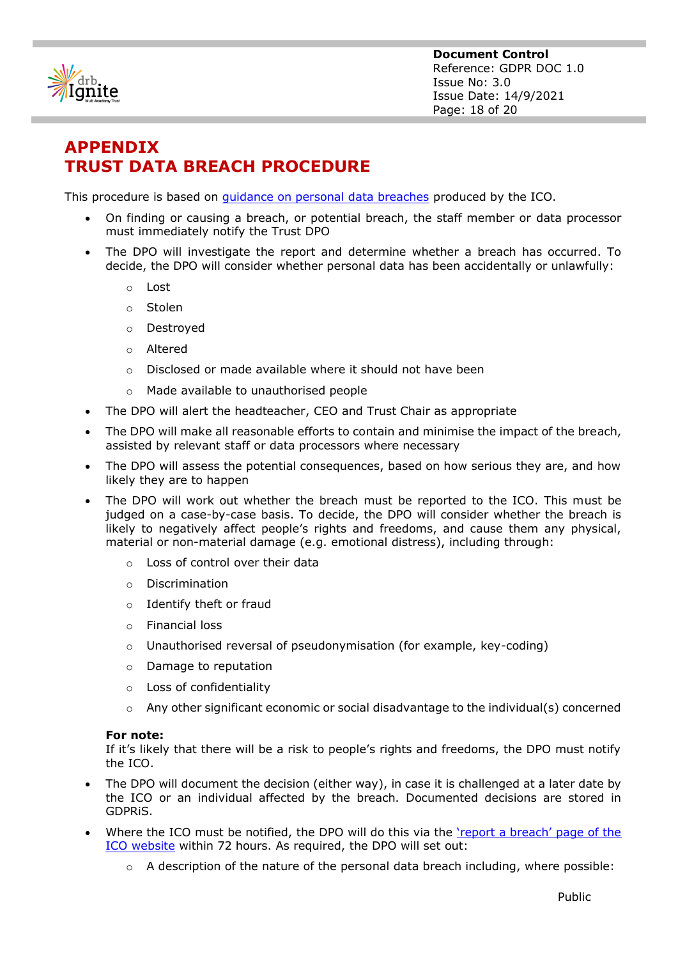

**Document Control** Reference: GDPR DOC 1.0 Issue No: 3.0 Issue Date: 14/9/2021 Page: 18 of 20

# **APPENDIX TRUST DATA BREACH PROCEDURE**

This procedure is based on [guidance on personal data breaches](https://ico.org.uk/for-organisations/guide-to-the-general-data-protection-regulation-gdpr/personal-data-breaches/) produced by the ICO.

- On finding or causing a breach, or potential breach, the staff member or data processor must immediately notify the Trust DPO
- The DPO will investigate the report and determine whether a breach has occurred. To decide, the DPO will consider whether personal data has been accidentally or unlawfully:
	- o Lost
	- o Stolen
	- o Destroyed
	- o Altered
	- o Disclosed or made available where it should not have been
	- o Made available to unauthorised people
- The DPO will alert the headteacher, CEO and Trust Chair as appropriate
- The DPO will make all reasonable efforts to contain and minimise the impact of the breach, assisted by relevant staff or data processors where necessary
- The DPO will assess the potential consequences, based on how serious they are, and how likely they are to happen
- The DPO will work out whether the breach must be reported to the ICO. This must be judged on a case-by-case basis. To decide, the DPO will consider whether the breach is likely to negatively affect people's rights and freedoms, and cause them any physical, material or non-material damage (e.g. emotional distress), including through:
	- o Loss of control over their data
	- o Discrimination
	- o Identify theft or fraud
	- o Financial loss
	- $\circ$  Unauthorised reversal of pseudonymisation (for example, key-coding)
	- o Damage to reputation
	- o Loss of confidentiality
	- $\circ$  Any other significant economic or social disadvantage to the individual(s) concerned

#### **For note:**

If it's likely that there will be a risk to people's rights and freedoms, the DPO must notify the ICO.

- The DPO will document the decision (either way), in case it is challenged at a later date by the ICO or an individual affected by the breach. Documented decisions are stored in GDPRiS.
- Where the ICO must be notified, the DPO will do this via the ['report a breach' page of the](https://ico.org.uk/for-organisations/report-a-breach/)  [ICO website](https://ico.org.uk/for-organisations/report-a-breach/) within 72 hours. As required, the DPO will set out:
	- $\circ$  A description of the nature of the personal data breach including, where possible: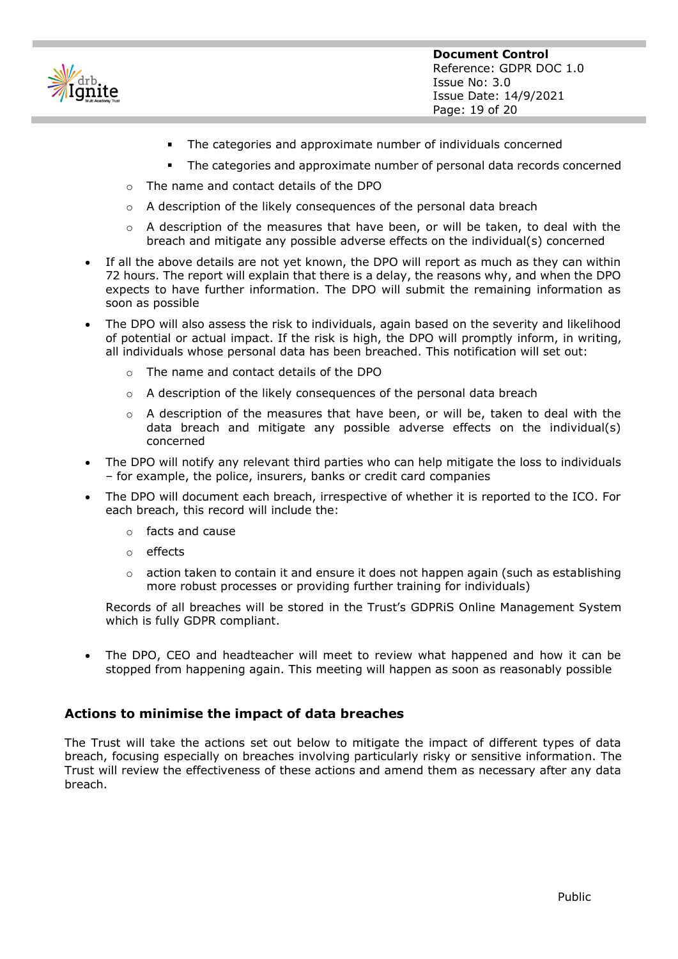

- $\blacksquare$ The categories and approximate number of individuals concerned
- The categories and approximate number of personal data records concerned
- o The name and contact details of the DPO
- o A description of the likely consequences of the personal data breach
- $\circ$  A description of the measures that have been, or will be taken, to deal with the breach and mitigate any possible adverse effects on the individual(s) concerned
- If all the above details are not yet known, the DPO will report as much as they can within 72 hours. The report will explain that there is a delay, the reasons why, and when the DPO expects to have further information. The DPO will submit the remaining information as soon as possible
- The DPO will also assess the risk to individuals, again based on the severity and likelihood of potential or actual impact. If the risk is high, the DPO will promptly inform, in writing, all individuals whose personal data has been breached. This notification will set out:
	- o The name and contact details of the DPO
	- $\circ$  A description of the likely consequences of the personal data breach
	- $\circ$  A description of the measures that have been, or will be, taken to deal with the data breach and mitigate any possible adverse effects on the individual(s) concerned
- The DPO will notify any relevant third parties who can help mitigate the loss to individuals – for example, the police, insurers, banks or credit card companies
- The DPO will document each breach, irrespective of whether it is reported to the ICO. For each breach, this record will include the:
	- o facts and cause
	- o effects
	- $\circ$  action taken to contain it and ensure it does not happen again (such as establishing more robust processes or providing further training for individuals)

Records of all breaches will be stored in the Trust's GDPRiS Online Management System which is fully GDPR compliant.

• The DPO, CEO and headteacher will meet to review what happened and how it can be stopped from happening again. This meeting will happen as soon as reasonably possible

## **Actions to minimise the impact of data breaches**

The Trust will take the actions set out below to mitigate the impact of different types of data breach, focusing especially on breaches involving particularly risky or sensitive information. The Trust will review the effectiveness of these actions and amend them as necessary after any data breach.